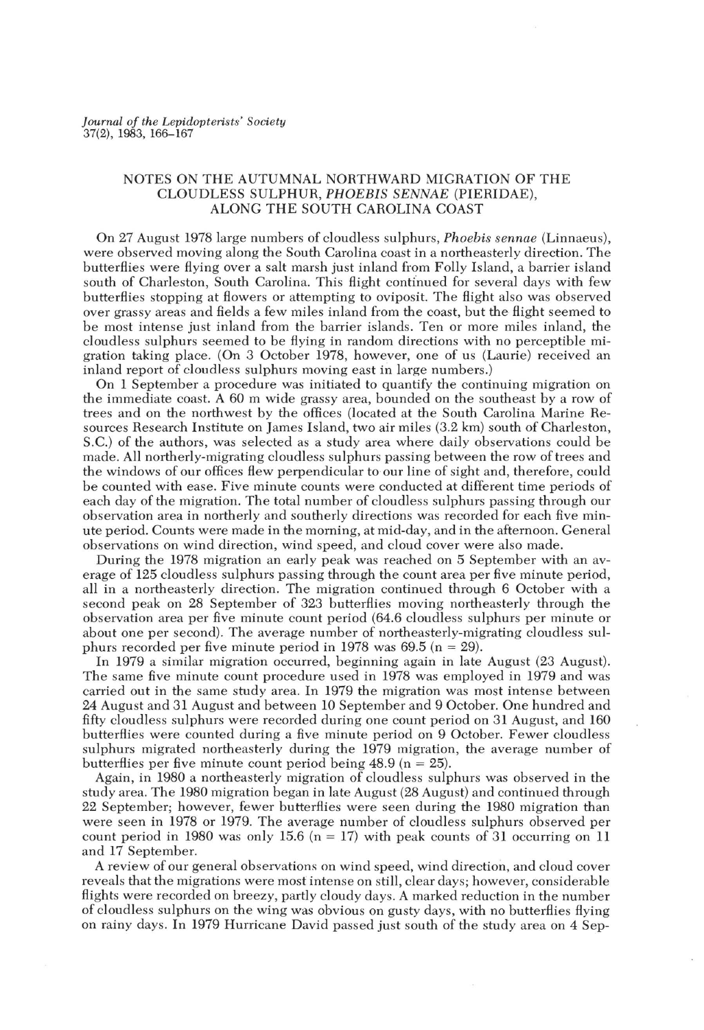## NOTES ON THE AUTUMNAL NORTHWARD MIGRATION OF THE CLOUDLESS SULPHUR, *PHOEBIS SENNAE* (PIERIDAE), ALONG THE SOUTH CAROLINA COAST

On 27 August 1978 large numbers of cloudless sulphurs, *Phoebis sennae* (Linnaeus), were observed moving along the South Carolina coast in a northeasterly direction. The butterflies were flying over a salt marsh just inland from Folly Island, a barrier island south of Charleston, South Carolina. This flight continued for several days with few butterflies stopping at flowers or attempting to oviposit. The flight also was observed over grassy areas and fields a few miles inland from the coast, but the Hight seemed to be most intense just inland from the barrier islands. Ten or more miles inland, the cloudless sulphurs seemed to be flying in random directions with no perceptible migration taking place. (On 3 October 1978, however, one of us (Laurie) received an inland report of cloudless sulphurs moving east in large numbers.)

On 1 September a procedure was initiated to quantify the continuing migration on the immediate coast. A 60 m wide grassy area, bounded on the southeast by a row of trees and on the northwest by the offices (located at the South Carolina Marine Resources Research Institute on James Island, two air miles (3.2 km) south of Charleston, S.C.) of the authors, was selected as a study area where daily observations could be made. All northerly-migrating cloudless sulphurs passing between the row of trees and the windows of our offices Hew perpendicular to our line of sight and, therefore, could be counted with ease. Five minute counts were conducted at different time periods of each day of the migration. The total number of cloudless sulphurs passing through our observation area in northerly and southerly directions was recorded for each five minute period. Counts were made in the morning, at mid-day, and in the afternoon. General observations on wind direction, wind speed, and cloud cover were also made.

During the 1978 migration an early peak was reached on 5 September with an average of 125 cloudless sulphurs passing through the count area per five minute period, all in a northeasterly direction. The migration continued through 6 October with a second peak on 28 September of 323 butterHies moving northeasterly through the observation area per five minute count period (64.6 cloudless sulphurs per minute or about one per second). The average number of northeasterly-migrating cloudless sulphurs recorded per five minute period in 1978 was  $69.5$  (n = 29).

In 1979 a similar migration occurred, beginning again in late August (23 August). The same five minute count procedure used in 1978 was employed in 1979 and was carried out in the same study area. In 1979 the migration was most intense between 24 August and 31 August and between 10 September and 9 October. One hundred and fifty cloudless sulphurs were recorded during one count period on 31 August, and 160 butterHies were counted during a five minute period on 9 October. Fewer cloudless sulphurs migrated northeasterly during the 1979 migration, the average number of butterflies per five minute count period being  $48.9$  (n = 25).

Again, in 1980 a northeasterly migration of cloudless sulphurs was observed in the study area. The 1980 migration began in late August (28 August) and continued through 22 September; however, fewer butterHies were seen during the 1980 migration than were seen in 1978 or 1979. The average number of cloudless sulphurs observed per count period in 1980 was only 15.6 (n = 17) with peak counts of 31 occurring on 11 and 17 September.

A review of our general observations on wind speed, wind direction, and cloud cover reveals that the migrations were most intense on still, clear days; however, considerable Hights were recorded on breezy, partly cloudy days. A marked reduction in the number of cloudless sulphurs on the wing was obvious on gusty days, with no butterHies Hying on rainy days. In 1979 Hurricane David passed just south of the study area on 4 Sep